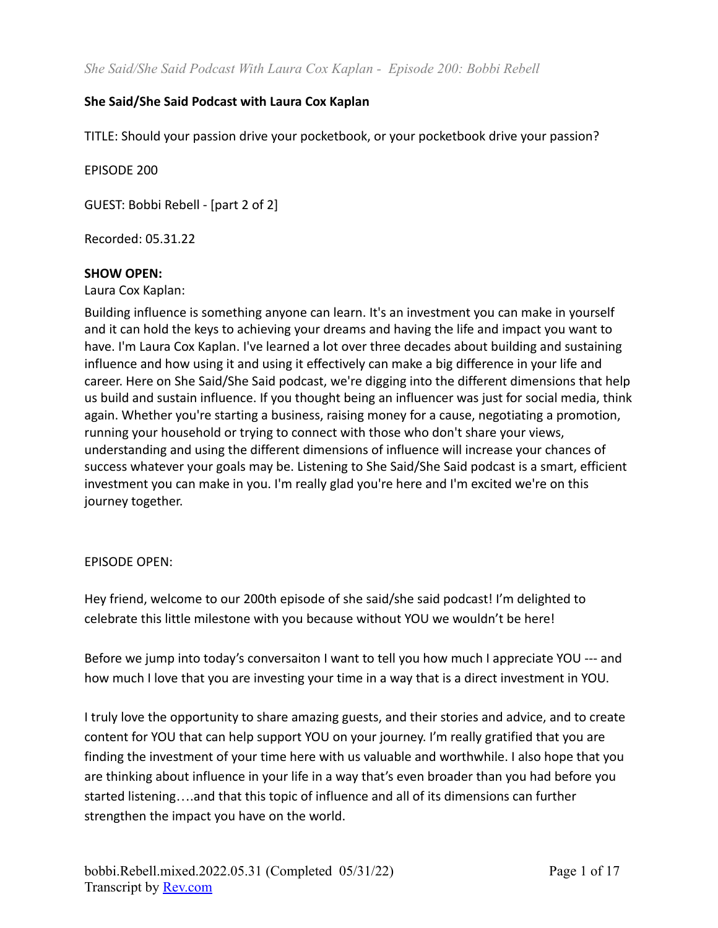### **She Said/She Said Podcast with Laura Cox Kaplan**

TITLE: Should your passion drive your pocketbook, or your pocketbook drive your passion?

EPISODE 200

GUEST: Bobbi Rebell - [part 2 of 2]

Recorded: 05.31.22

#### **SHOW OPEN:**

Laura Cox Kaplan:

Building influence is something anyone can learn. It's an investment you can make in yourself and it can hold the keys to achieving your dreams and having the life and impact you want to have. I'm Laura Cox Kaplan. I've learned a lot over three decades about building and sustaining influence and how using it and using it effectively can make a big difference in your life and career. Here on She Said/She Said podcast, we're digging into the different dimensions that help us build and sustain influence. If you thought being an influencer was just for social media, think again. Whether you're starting a business, raising money for a cause, negotiating a promotion, running your household or trying to connect with those who don't share your views, understanding and using the different dimensions of influence will increase your chances of success whatever your goals may be. Listening to She Said/She Said podcast is a smart, efficient investment you can make in you. I'm really glad you're here and I'm excited we're on this journey together.

#### EPISODE OPEN:

Hey friend, welcome to our 200th episode of she said/she said podcast! I'm delighted to celebrate this little milestone with you because without YOU we wouldn't be here!

Before we jump into today's conversaiton I want to tell you how much I appreciate YOU --- and how much I love that you are investing your time in a way that is a direct investment in YOU.

I truly love the opportunity to share amazing guests, and their stories and advice, and to create content for YOU that can help support YOU on your journey. I'm really gratified that you are finding the investment of your time here with us valuable and worthwhile. I also hope that you are thinking about influence in your life in a way that's even broader than you had before you started listening….and that this topic of influence and all of its dimensions can further strengthen the impact you have on the world.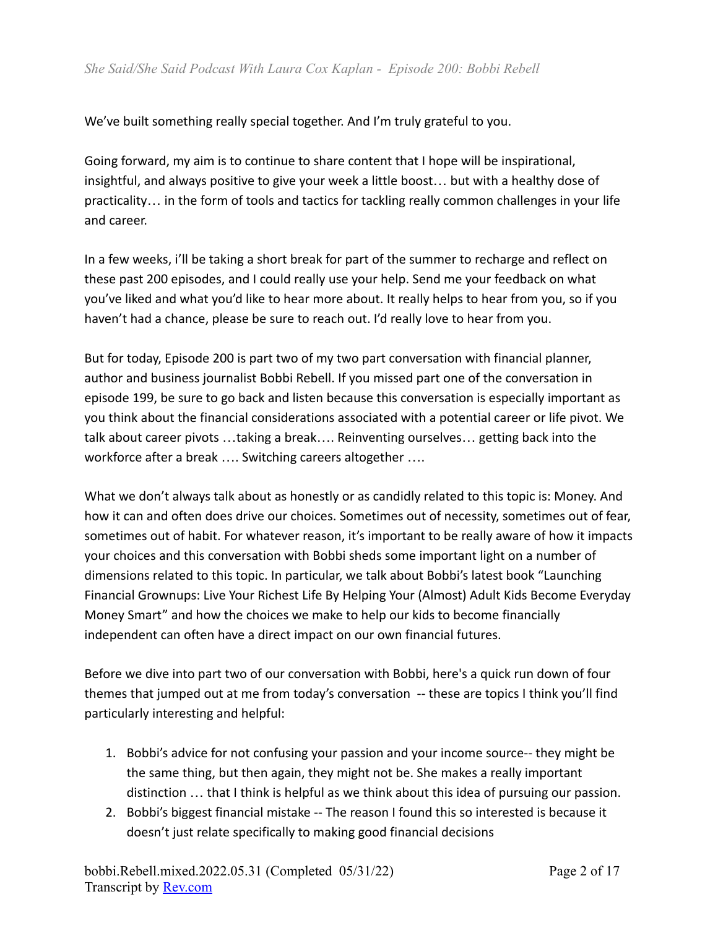We've built something really special together. And I'm truly grateful to you.

Going forward, my aim is to continue to share content that I hope will be inspirational, insightful, and always positive to give your week a little boost… but with a healthy dose of practicality… in the form of tools and tactics for tackling really common challenges in your life and career.

In a few weeks, i'll be taking a short break for part of the summer to recharge and reflect on these past 200 episodes, and I could really use your help. Send me your feedback on what you've liked and what you'd like to hear more about. It really helps to hear from you, so if you haven't had a chance, please be sure to reach out. I'd really love to hear from you.

But for today, Episode 200 is part two of my two part conversation with financial planner, author and business journalist Bobbi Rebell. If you missed part one of the conversation in episode 199, be sure to go back and listen because this conversation is especially important as you think about the financial considerations associated with a potential career or life pivot. We talk about career pivots …taking a break…. Reinventing ourselves… getting back into the workforce after a break …. Switching careers altogether ….

What we don't always talk about as honestly or as candidly related to this topic is: Money. And how it can and often does drive our choices. Sometimes out of necessity, sometimes out of fear, sometimes out of habit. For whatever reason, it's important to be really aware of how it impacts your choices and this conversation with Bobbi sheds some important light on a number of dimensions related to this topic. In particular, we talk about Bobbi's latest book "Launching Financial Grownups: Live Your Richest Life By Helping Your (Almost) Adult Kids Become Everyday Money Smart" and how the choices we make to help our kids to become financially independent can often have a direct impact on our own financial futures.

Before we dive into part two of our conversation with Bobbi, here's a quick run down of four themes that jumped out at me from today's conversation -- these are topics I think you'll find particularly interesting and helpful:

- 1. Bobbi's advice for not confusing your passion and your income source-- they might be the same thing, but then again, they might not be. She makes a really important distinction … that I think is helpful as we think about this idea of pursuing our passion.
- 2. Bobbi's biggest financial mistake -- The reason I found this so interested is because it doesn't just relate specifically to making good financial decisions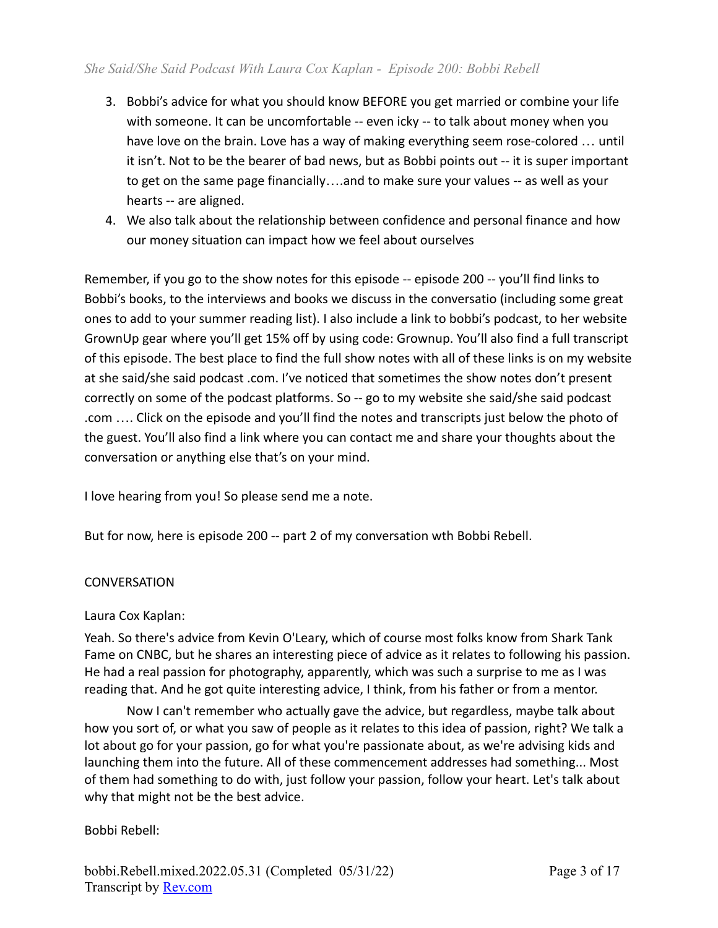- 3. Bobbi's advice for what you should know BEFORE you get married or combine your life with someone. It can be uncomfortable -- even icky -- to talk about money when you have love on the brain. Love has a way of making everything seem rose-colored … until it isn't. Not to be the bearer of bad news, but as Bobbi points out -- it is super important to get on the same page financially….and to make sure your values -- as well as your hearts -- are aligned.
- 4. We also talk about the relationship between confidence and personal finance and how our money situation can impact how we feel about ourselves

Remember, if you go to the show notes for this episode -- episode 200 -- you'll find links to Bobbi's books, to the interviews and books we discuss in the conversatio (including some great ones to add to your summer reading list). I also include a link to bobbi's podcast, to her website GrownUp gear where you'll get 15% off by using code: Grownup. You'll also find a full transcript of this episode. The best place to find the full show notes with all of these links is on my website at she said/she said podcast .com. I've noticed that sometimes the show notes don't present correctly on some of the podcast platforms. So -- go to my website she said/she said podcast .com …. Click on the episode and you'll find the notes and transcripts just below the photo of the guest. You'll also find a link where you can contact me and share your thoughts about the conversation or anything else that's on your mind.

I love hearing from you! So please send me a note.

But for now, here is episode 200 -- part 2 of my conversation wth Bobbi Rebell.

#### **CONVERSATION**

#### Laura Cox Kaplan:

Yeah. So there's advice from Kevin O'Leary, which of course most folks know from Shark Tank Fame on CNBC, but he shares an interesting piece of advice as it relates to following his passion. He had a real passion for photography, apparently, which was such a surprise to me as I was reading that. And he got quite interesting advice, I think, from his father or from a mentor.

Now I can't remember who actually gave the advice, but regardless, maybe talk about how you sort of, or what you saw of people as it relates to this idea of passion, right? We talk a lot about go for your passion, go for what you're passionate about, as we're advising kids and launching them into the future. All of these commencement addresses had something... Most of them had something to do with, just follow your passion, follow your heart. Let's talk about why that might not be the best advice.

#### Bobbi Rebell: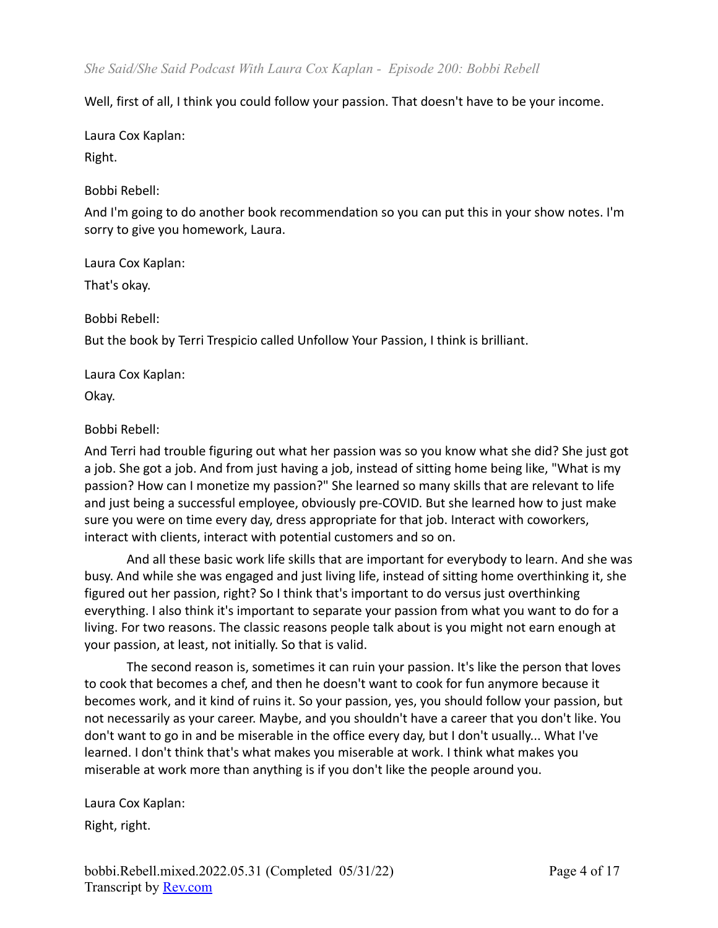Well, first of all, I think you could follow your passion. That doesn't have to be your income.

Laura Cox Kaplan:

Right.

Bobbi Rebell:

And I'm going to do another book recommendation so you can put this in your show notes. I'm sorry to give you homework, Laura.

Laura Cox Kaplan:

That's okay.

Bobbi Rebell:

But the book by Terri Trespicio called Unfollow Your Passion, I think is brilliant.

Laura Cox Kaplan:

Okay.

# Bobbi Rebell:

And Terri had trouble figuring out what her passion was so you know what she did? She just got a job. She got a job. And from just having a job, instead of sitting home being like, "What is my passion? How can I monetize my passion?" She learned so many skills that are relevant to life and just being a successful employee, obviously pre-COVID. But she learned how to just make sure you were on time every day, dress appropriate for that job. Interact with coworkers, interact with clients, interact with potential customers and so on.

And all these basic work life skills that are important for everybody to learn. And she was busy. And while she was engaged and just living life, instead of sitting home overthinking it, she figured out her passion, right? So I think that's important to do versus just overthinking everything. I also think it's important to separate your passion from what you want to do for a living. For two reasons. The classic reasons people talk about is you might not earn enough at your passion, at least, not initially. So that is valid.

The second reason is, sometimes it can ruin your passion. It's like the person that loves to cook that becomes a chef, and then he doesn't want to cook for fun anymore because it becomes work, and it kind of ruins it. So your passion, yes, you should follow your passion, but not necessarily as your career. Maybe, and you shouldn't have a career that you don't like. You don't want to go in and be miserable in the office every day, but I don't usually... What I've learned. I don't think that's what makes you miserable at work. I think what makes you miserable at work more than anything is if you don't like the people around you.

Laura Cox Kaplan: Right, right.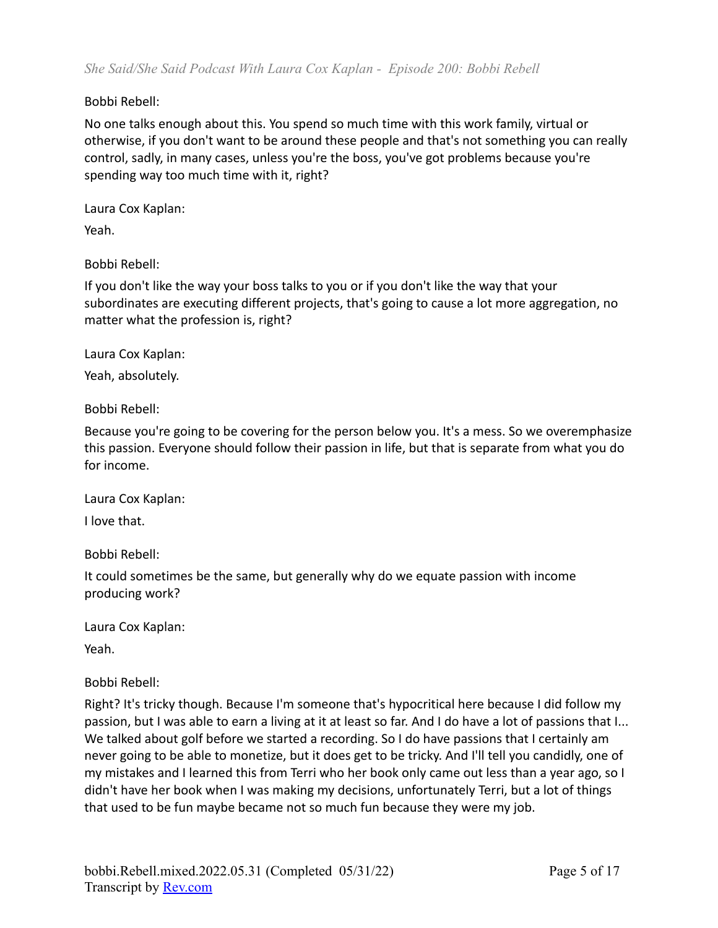### Bobbi Rebell:

No one talks enough about this. You spend so much time with this work family, virtual or otherwise, if you don't want to be around these people and that's not something you can really control, sadly, in many cases, unless you're the boss, you've got problems because you're spending way too much time with it, right?

Laura Cox Kaplan: Yeah.

Bobbi Rebell:

If you don't like the way your boss talks to you or if you don't like the way that your subordinates are executing different projects, that's going to cause a lot more aggregation, no matter what the profession is, right?

Laura Cox Kaplan:

Yeah, absolutely.

Bobbi Rebell:

Because you're going to be covering for the person below you. It's a mess. So we overemphasize this passion. Everyone should follow their passion in life, but that is separate from what you do for income.

Laura Cox Kaplan:

I love that.

Bobbi Rebell:

It could sometimes be the same, but generally why do we equate passion with income producing work?

Laura Cox Kaplan:

Yeah.

Bobbi Rebell:

Right? It's tricky though. Because I'm someone that's hypocritical here because I did follow my passion, but I was able to earn a living at it at least so far. And I do have a lot of passions that I... We talked about golf before we started a recording. So I do have passions that I certainly am never going to be able to monetize, but it does get to be tricky. And I'll tell you candidly, one of my mistakes and I learned this from Terri who her book only came out less than a year ago, so I didn't have her book when I was making my decisions, unfortunately Terri, but a lot of things that used to be fun maybe became not so much fun because they were my job.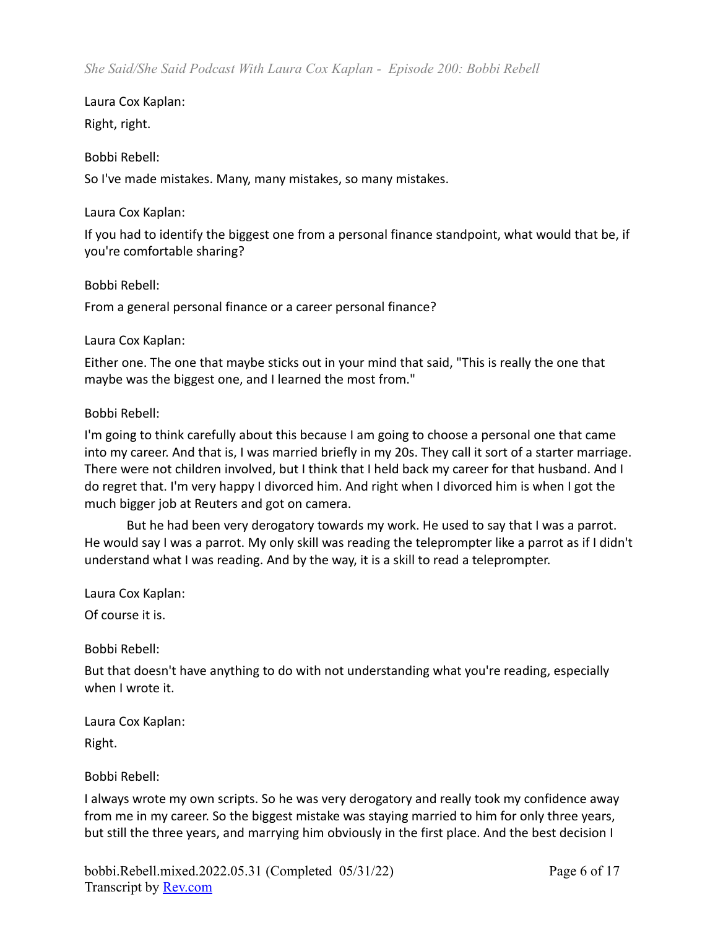Right, right.

### Bobbi Rebell:

So I've made mistakes. Many, many mistakes, so many mistakes.

#### Laura Cox Kaplan:

If you had to identify the biggest one from a personal finance standpoint, what would that be, if you're comfortable sharing?

### Bobbi Rebell:

From a general personal finance or a career personal finance?

### Laura Cox Kaplan:

Either one. The one that maybe sticks out in your mind that said, "This is really the one that maybe was the biggest one, and I learned the most from."

### Bobbi Rebell:

I'm going to think carefully about this because I am going to choose a personal one that came into my career. And that is, I was married briefly in my 20s. They call it sort of a starter marriage. There were not children involved, but I think that I held back my career for that husband. And I do regret that. I'm very happy I divorced him. And right when I divorced him is when I got the much bigger job at Reuters and got on camera.

But he had been very derogatory towards my work. He used to say that I was a parrot. He would say I was a parrot. My only skill was reading the teleprompter like a parrot as if I didn't understand what I was reading. And by the way, it is a skill to read a teleprompter.

Laura Cox Kaplan:

Of course it is.

Bobbi Rebell:

But that doesn't have anything to do with not understanding what you're reading, especially when I wrote it.

Laura Cox Kaplan:

Right.

# Bobbi Rebell:

I always wrote my own scripts. So he was very derogatory and really took my confidence away from me in my career. So the biggest mistake was staying married to him for only three years, but still the three years, and marrying him obviously in the first place. And the best decision I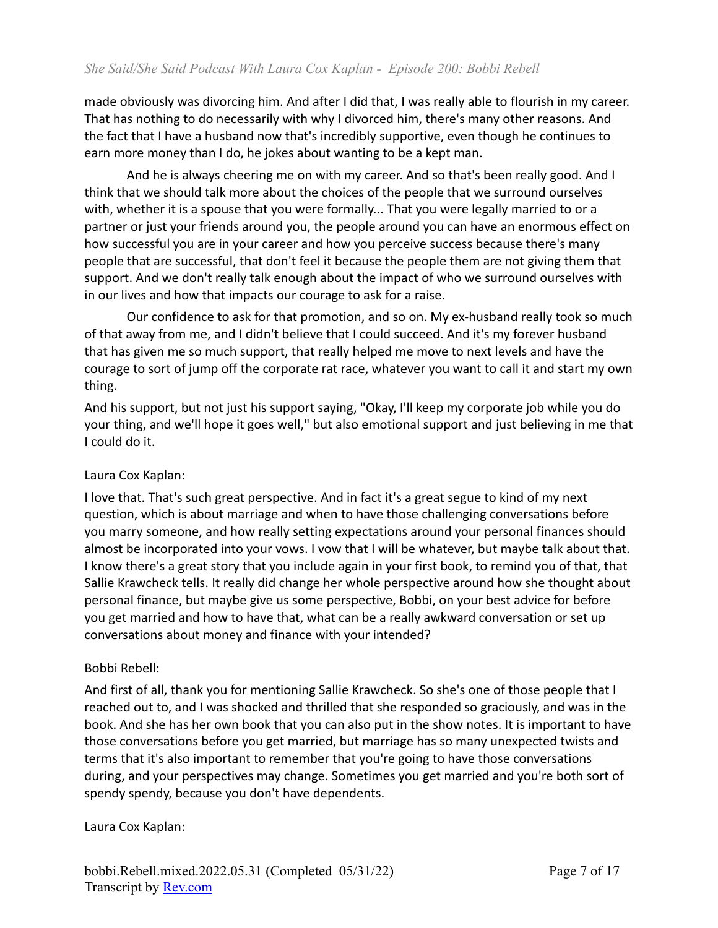made obviously was divorcing him. And after I did that, I was really able to flourish in my career. That has nothing to do necessarily with why I divorced him, there's many other reasons. And the fact that I have a husband now that's incredibly supportive, even though he continues to earn more money than I do, he jokes about wanting to be a kept man.

And he is always cheering me on with my career. And so that's been really good. And I think that we should talk more about the choices of the people that we surround ourselves with, whether it is a spouse that you were formally... That you were legally married to or a partner or just your friends around you, the people around you can have an enormous effect on how successful you are in your career and how you perceive success because there's many people that are successful, that don't feel it because the people them are not giving them that support. And we don't really talk enough about the impact of who we surround ourselves with in our lives and how that impacts our courage to ask for a raise.

Our confidence to ask for that promotion, and so on. My ex-husband really took so much of that away from me, and I didn't believe that I could succeed. And it's my forever husband that has given me so much support, that really helped me move to next levels and have the courage to sort of jump off the corporate rat race, whatever you want to call it and start my own thing.

And his support, but not just his support saying, "Okay, I'll keep my corporate job while you do your thing, and we'll hope it goes well," but also emotional support and just believing in me that I could do it.

# Laura Cox Kaplan:

I love that. That's such great perspective. And in fact it's a great segue to kind of my next question, which is about marriage and when to have those challenging conversations before you marry someone, and how really setting expectations around your personal finances should almost be incorporated into your vows. I vow that I will be whatever, but maybe talk about that. I know there's a great story that you include again in your first book, to remind you of that, that Sallie Krawcheck tells. It really did change her whole perspective around how she thought about personal finance, but maybe give us some perspective, Bobbi, on your best advice for before you get married and how to have that, what can be a really awkward conversation or set up conversations about money and finance with your intended?

#### Bobbi Rebell:

And first of all, thank you for mentioning Sallie Krawcheck. So she's one of those people that I reached out to, and I was shocked and thrilled that she responded so graciously, and was in the book. And she has her own book that you can also put in the show notes. It is important to have those conversations before you get married, but marriage has so many unexpected twists and terms that it's also important to remember that you're going to have those conversations during, and your perspectives may change. Sometimes you get married and you're both sort of spendy spendy, because you don't have dependents.

Laura Cox Kaplan: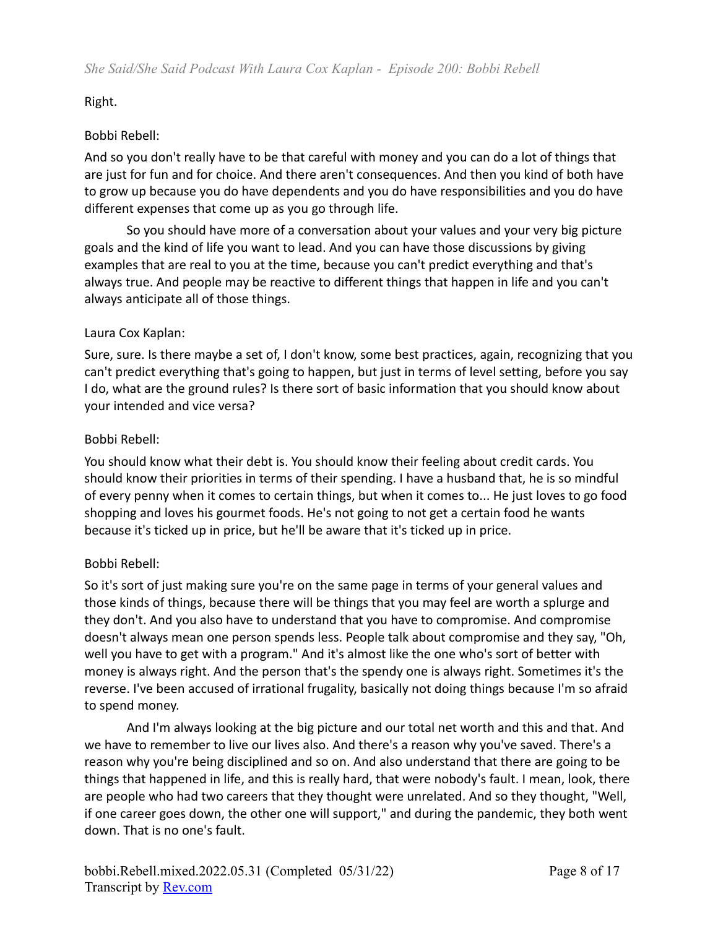Right.

# Bobbi Rebell:

And so you don't really have to be that careful with money and you can do a lot of things that are just for fun and for choice. And there aren't consequences. And then you kind of both have to grow up because you do have dependents and you do have responsibilities and you do have different expenses that come up as you go through life.

So you should have more of a conversation about your values and your very big picture goals and the kind of life you want to lead. And you can have those discussions by giving examples that are real to you at the time, because you can't predict everything and that's always true. And people may be reactive to different things that happen in life and you can't always anticipate all of those things.

# Laura Cox Kaplan:

Sure, sure. Is there maybe a set of, I don't know, some best practices, again, recognizing that you can't predict everything that's going to happen, but just in terms of level setting, before you say I do, what are the ground rules? Is there sort of basic information that you should know about your intended and vice versa?

# Bobbi Rebell:

You should know what their debt is. You should know their feeling about credit cards. You should know their priorities in terms of their spending. I have a husband that, he is so mindful of every penny when it comes to certain things, but when it comes to... He just loves to go food shopping and loves his gourmet foods. He's not going to not get a certain food he wants because it's ticked up in price, but he'll be aware that it's ticked up in price.

# Bobbi Rebell:

So it's sort of just making sure you're on the same page in terms of your general values and those kinds of things, because there will be things that you may feel are worth a splurge and they don't. And you also have to understand that you have to compromise. And compromise doesn't always mean one person spends less. People talk about compromise and they say, "Oh, well you have to get with a program." And it's almost like the one who's sort of better with money is always right. And the person that's the spendy one is always right. Sometimes it's the reverse. I've been accused of irrational frugality, basically not doing things because I'm so afraid to spend money.

And I'm always looking at the big picture and our total net worth and this and that. And we have to remember to live our lives also. And there's a reason why you've saved. There's a reason why you're being disciplined and so on. And also understand that there are going to be things that happened in life, and this is really hard, that were nobody's fault. I mean, look, there are people who had two careers that they thought were unrelated. And so they thought, "Well, if one career goes down, the other one will support," and during the pandemic, they both went down. That is no one's fault.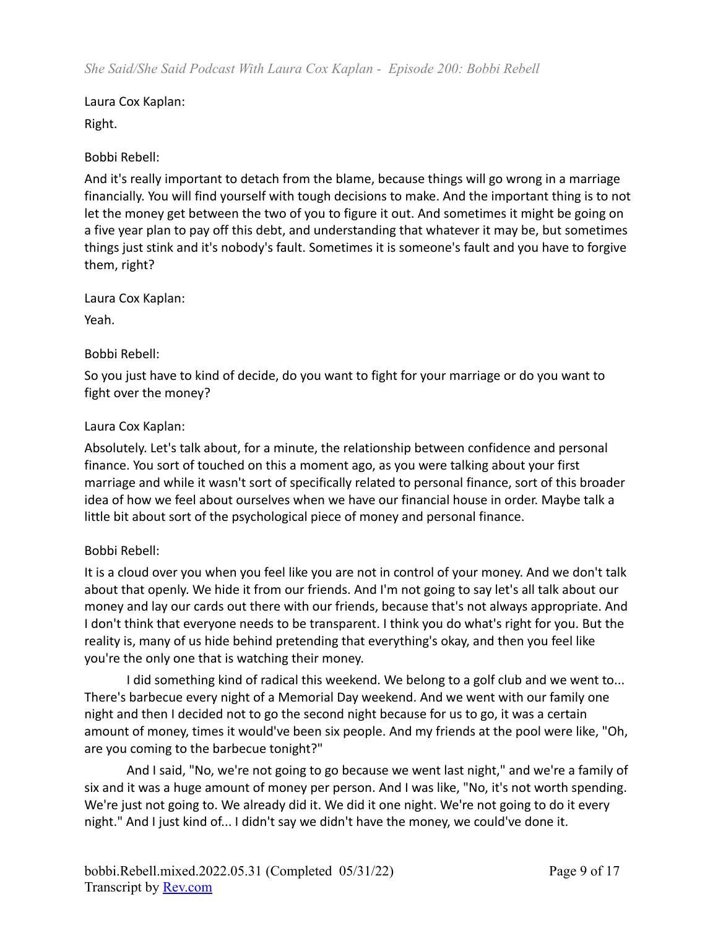Right.

Bobbi Rebell:

And it's really important to detach from the blame, because things will go wrong in a marriage financially. You will find yourself with tough decisions to make. And the important thing is to not let the money get between the two of you to figure it out. And sometimes it might be going on a five year plan to pay off this debt, and understanding that whatever it may be, but sometimes things just stink and it's nobody's fault. Sometimes it is someone's fault and you have to forgive them, right?

Laura Cox Kaplan:

Yeah.

### Bobbi Rebell:

So you just have to kind of decide, do you want to fight for your marriage or do you want to fight over the money?

### Laura Cox Kaplan:

Absolutely. Let's talk about, for a minute, the relationship between confidence and personal finance. You sort of touched on this a moment ago, as you were talking about your first marriage and while it wasn't sort of specifically related to personal finance, sort of this broader idea of how we feel about ourselves when we have our financial house in order. Maybe talk a little bit about sort of the psychological piece of money and personal finance.

# Bobbi Rebell:

It is a cloud over you when you feel like you are not in control of your money. And we don't talk about that openly. We hide it from our friends. And I'm not going to say let's all talk about our money and lay our cards out there with our friends, because that's not always appropriate. And I don't think that everyone needs to be transparent. I think you do what's right for you. But the reality is, many of us hide behind pretending that everything's okay, and then you feel like you're the only one that is watching their money.

I did something kind of radical this weekend. We belong to a golf club and we went to... There's barbecue every night of a Memorial Day weekend. And we went with our family one night and then I decided not to go the second night because for us to go, it was a certain amount of money, times it would've been six people. And my friends at the pool were like, "Oh, are you coming to the barbecue tonight?"

And I said, "No, we're not going to go because we went last night," and we're a family of six and it was a huge amount of money per person. And I was like, "No, it's not worth spending. We're just not going to. We already did it. We did it one night. We're not going to do it every night." And I just kind of... I didn't say we didn't have the money, we could've done it.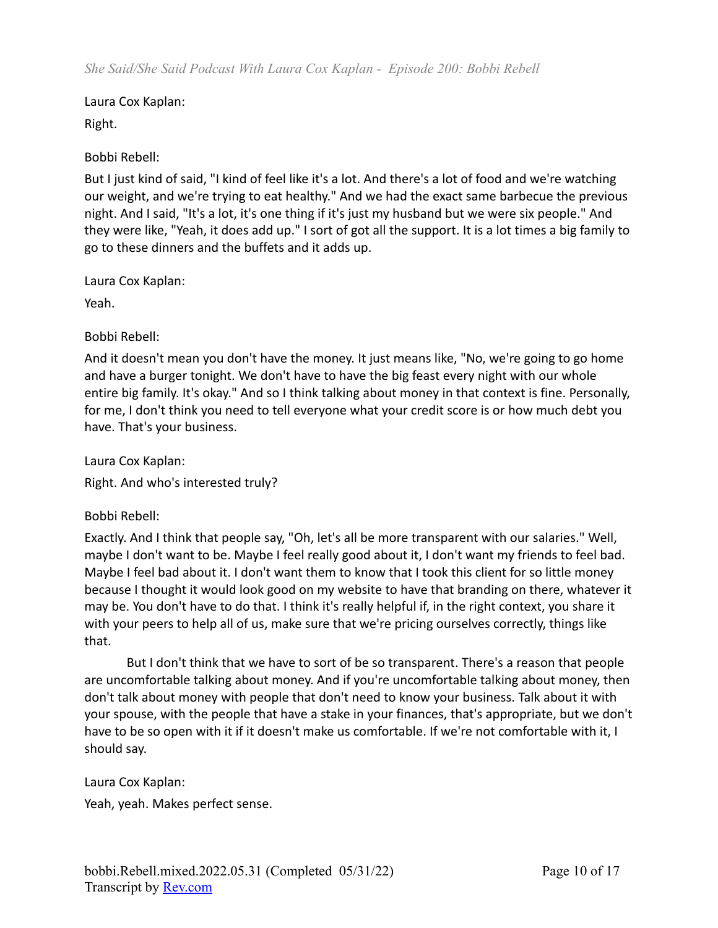Right.

Bobbi Rebell:

But I just kind of said, "I kind of feel like it's a lot. And there's a lot of food and we're watching our weight, and we're trying to eat healthy." And we had the exact same barbecue the previous night. And I said, "It's a lot, it's one thing if it's just my husband but we were six people." And they were like, "Yeah, it does add up." I sort of got all the support. It is a lot times a big family to go to these dinners and the buffets and it adds up.

Laura Cox Kaplan:

Yeah.

Bobbi Rebell:

And it doesn't mean you don't have the money. It just means like, "No, we're going to go home and have a burger tonight. We don't have to have the big feast every night with our whole entire big family. It's okay." And so I think talking about money in that context is fine. Personally, for me, I don't think you need to tell everyone what your credit score is or how much debt you have. That's your business.

Laura Cox Kaplan:

Right. And who's interested truly?

Bobbi Rebell:

Exactly. And I think that people say, "Oh, let's all be more transparent with our salaries." Well, maybe I don't want to be. Maybe I feel really good about it, I don't want my friends to feel bad. Maybe I feel bad about it. I don't want them to know that I took this client for so little money because I thought it would look good on my website to have that branding on there, whatever it may be. You don't have to do that. I think it's really helpful if, in the right context, you share it with your peers to help all of us, make sure that we're pricing ourselves correctly, things like that.

But I don't think that we have to sort of be so transparent. There's a reason that people are uncomfortable talking about money. And if you're uncomfortable talking about money, then don't talk about money with people that don't need to know your business. Talk about it with your spouse, with the people that have a stake in your finances, that's appropriate, but we don't have to be so open with it if it doesn't make us comfortable. If we're not comfortable with it, I should say.

Laura Cox Kaplan:

Yeah, yeah. Makes perfect sense.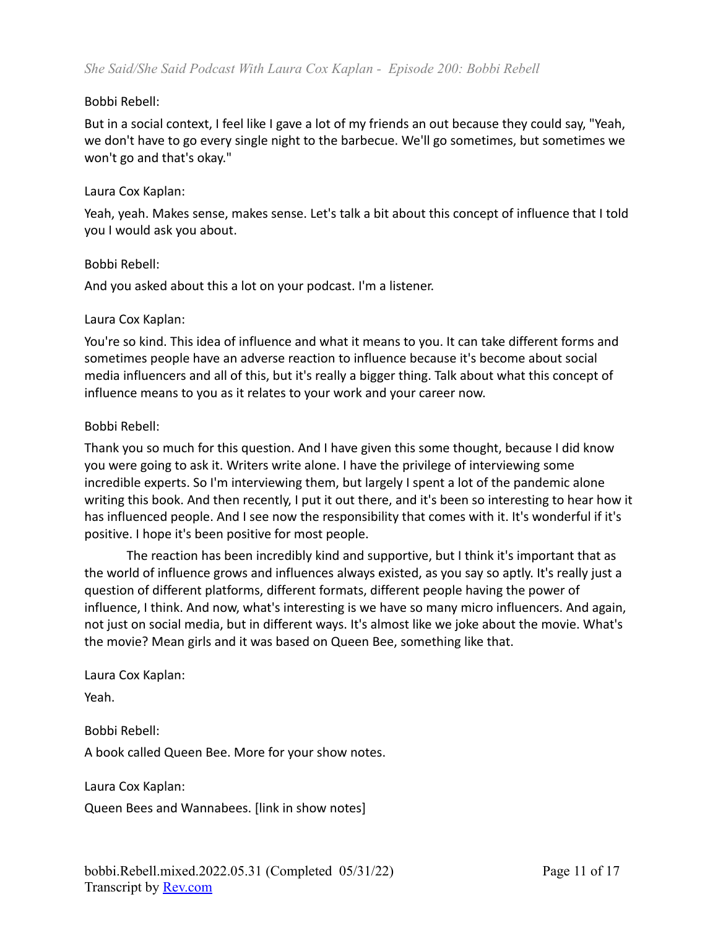#### Bobbi Rebell:

But in a social context, I feel like I gave a lot of my friends an out because they could say, "Yeah, we don't have to go every single night to the barbecue. We'll go sometimes, but sometimes we won't go and that's okay."

#### Laura Cox Kaplan:

Yeah, yeah. Makes sense, makes sense. Let's talk a bit about this concept of influence that I told you I would ask you about.

#### Bobbi Rebell:

And you asked about this a lot on your podcast. I'm a listener.

#### Laura Cox Kaplan:

You're so kind. This idea of influence and what it means to you. It can take different forms and sometimes people have an adverse reaction to influence because it's become about social media influencers and all of this, but it's really a bigger thing. Talk about what this concept of influence means to you as it relates to your work and your career now.

#### Bobbi Rebell:

Thank you so much for this question. And I have given this some thought, because I did know you were going to ask it. Writers write alone. I have the privilege of interviewing some incredible experts. So I'm interviewing them, but largely I spent a lot of the pandemic alone writing this book. And then recently, I put it out there, and it's been so interesting to hear how it has influenced people. And I see now the responsibility that comes with it. It's wonderful if it's positive. I hope it's been positive for most people.

The reaction has been incredibly kind and supportive, but I think it's important that as the world of influence grows and influences always existed, as you say so aptly. It's really just a question of different platforms, different formats, different people having the power of influence, I think. And now, what's interesting is we have so many micro influencers. And again, not just on social media, but in different ways. It's almost like we joke about the movie. What's the movie? Mean girls and it was based on Queen Bee, something like that.

Laura Cox Kaplan: Yeah.

Bobbi Rebell: A book called Queen Bee. More for your show notes.

Laura Cox Kaplan:

Queen Bees and Wannabees. [link in show notes]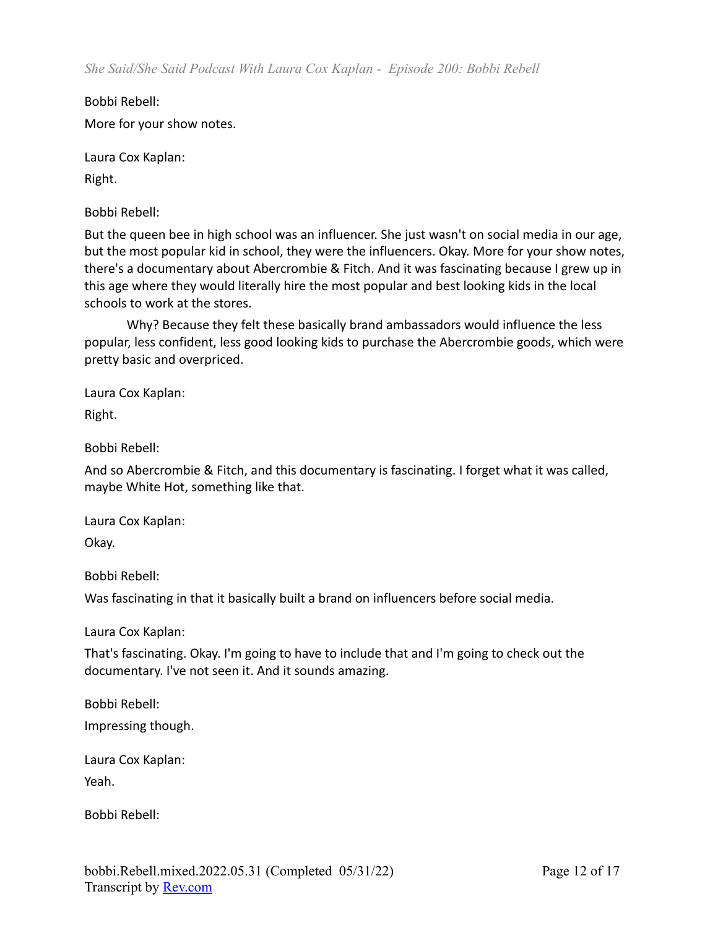*She Said/She Said Podcast With Laura Cox Kaplan - Episode 200: Bobbi Rebell*

Bobbi Rebell: More for your show notes.

Laura Cox Kaplan:

Right.

Bobbi Rebell:

But the queen bee in high school was an influencer. She just wasn't on social media in our age, but the most popular kid in school, they were the influencers. Okay. More for your show notes, there's a documentary about Abercrombie & Fitch. And it was fascinating because I grew up in this age where they would literally hire the most popular and best looking kids in the local schools to work at the stores.

Why? Because they felt these basically brand ambassadors would influence the less popular, less confident, less good looking kids to purchase the Abercrombie goods, which were pretty basic and overpriced.

Laura Cox Kaplan:

Right.

Bobbi Rebell:

And so Abercrombie & Fitch, and this documentary is fascinating. I forget what it was called, maybe White Hot, something like that.

Laura Cox Kaplan:

Okay.

Bobbi Rebell:

Was fascinating in that it basically built a brand on influencers before social media.

Laura Cox Kaplan:

That's fascinating. Okay. I'm going to have to include that and I'm going to check out the documentary. I've not seen it. And it sounds amazing.

Bobbi Rebell: Impressing though.

Laura Cox Kaplan: Yeah.

Bobbi Rebell: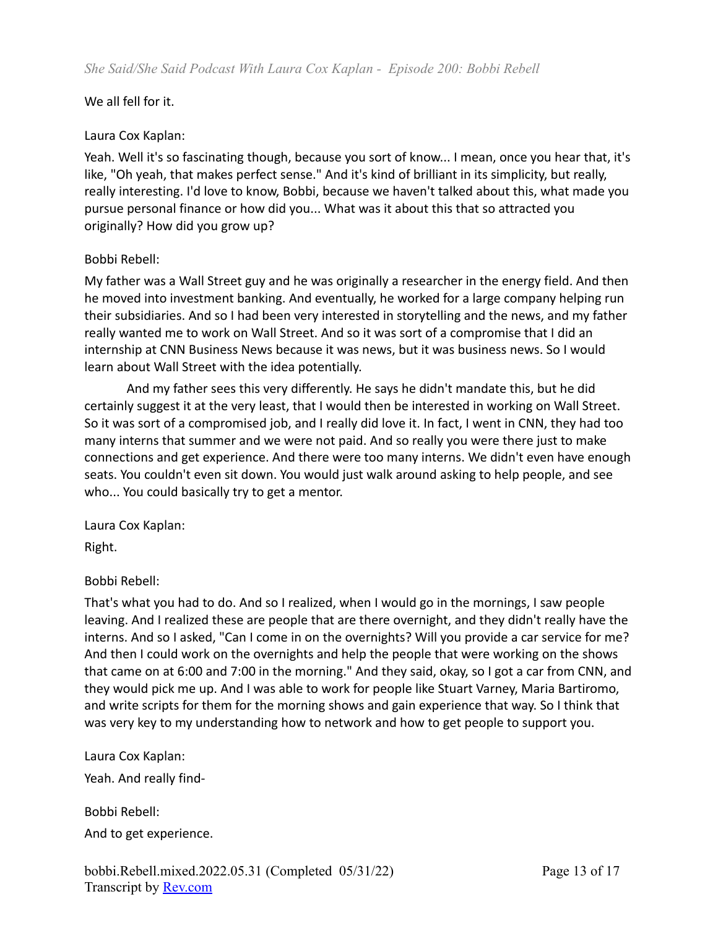### We all fell for it.

#### Laura Cox Kaplan:

Yeah. Well it's so fascinating though, because you sort of know... I mean, once you hear that, it's like, "Oh yeah, that makes perfect sense." And it's kind of brilliant in its simplicity, but really, really interesting. I'd love to know, Bobbi, because we haven't talked about this, what made you pursue personal finance or how did you... What was it about this that so attracted you originally? How did you grow up?

### Bobbi Rebell:

My father was a Wall Street guy and he was originally a researcher in the energy field. And then he moved into investment banking. And eventually, he worked for a large company helping run their subsidiaries. And so I had been very interested in storytelling and the news, and my father really wanted me to work on Wall Street. And so it was sort of a compromise that I did an internship at CNN Business News because it was news, but it was business news. So I would learn about Wall Street with the idea potentially.

And my father sees this very differently. He says he didn't mandate this, but he did certainly suggest it at the very least, that I would then be interested in working on Wall Street. So it was sort of a compromised job, and I really did love it. In fact, I went in CNN, they had too many interns that summer and we were not paid. And so really you were there just to make connections and get experience. And there were too many interns. We didn't even have enough seats. You couldn't even sit down. You would just walk around asking to help people, and see who... You could basically try to get a mentor.

Laura Cox Kaplan:

Right.

# Bobbi Rebell:

That's what you had to do. And so I realized, when I would go in the mornings, I saw people leaving. And I realized these are people that are there overnight, and they didn't really have the interns. And so I asked, "Can I come in on the overnights? Will you provide a car service for me? And then I could work on the overnights and help the people that were working on the shows that came on at 6:00 and 7:00 in the morning." And they said, okay, so I got a car from CNN, and they would pick me up. And I was able to work for people like Stuart Varney, Maria Bartiromo, and write scripts for them for the morning shows and gain experience that way. So I think that was very key to my understanding how to network and how to get people to support you.

Laura Cox Kaplan:

Yeah. And really find-

Bobbi Rebell: And to get experience.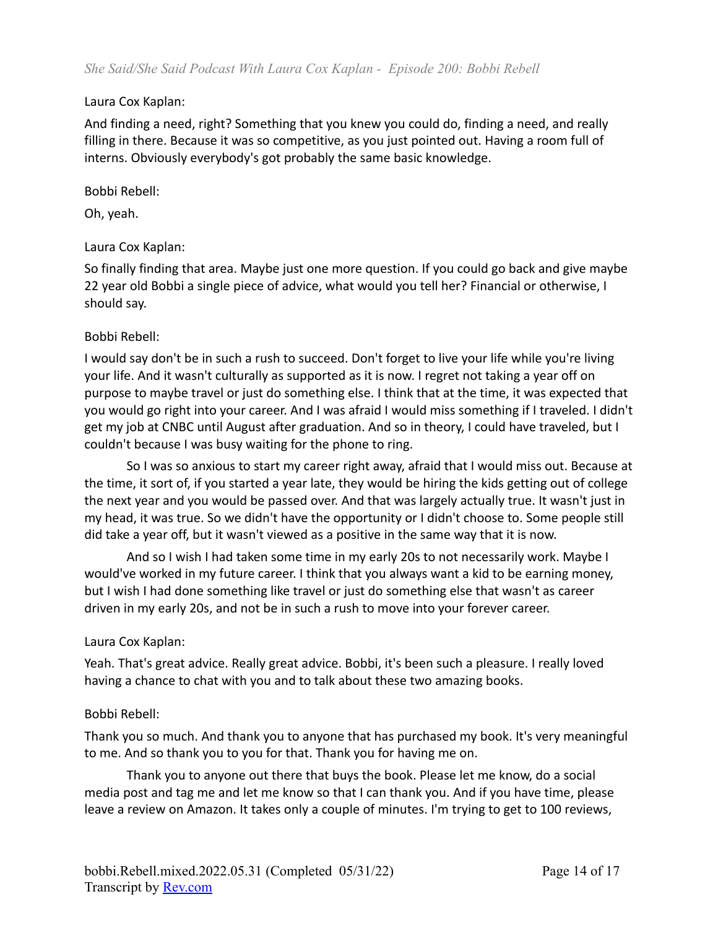And finding a need, right? Something that you knew you could do, finding a need, and really filling in there. Because it was so competitive, as you just pointed out. Having a room full of interns. Obviously everybody's got probably the same basic knowledge.

#### Bobbi Rebell:

Oh, yeah.

#### Laura Cox Kaplan:

So finally finding that area. Maybe just one more question. If you could go back and give maybe 22 year old Bobbi a single piece of advice, what would you tell her? Financial or otherwise, I should say.

#### Bobbi Rebell:

I would say don't be in such a rush to succeed. Don't forget to live your life while you're living your life. And it wasn't culturally as supported as it is now. I regret not taking a year off on purpose to maybe travel or just do something else. I think that at the time, it was expected that you would go right into your career. And I was afraid I would miss something if I traveled. I didn't get my job at CNBC until August after graduation. And so in theory, I could have traveled, but I couldn't because I was busy waiting for the phone to ring.

So I was so anxious to start my career right away, afraid that I would miss out. Because at the time, it sort of, if you started a year late, they would be hiring the kids getting out of college the next year and you would be passed over. And that was largely actually true. It wasn't just in my head, it was true. So we didn't have the opportunity or I didn't choose to. Some people still did take a year off, but it wasn't viewed as a positive in the same way that it is now.

And so I wish I had taken some time in my early 20s to not necessarily work. Maybe I would've worked in my future career. I think that you always want a kid to be earning money, but I wish I had done something like travel or just do something else that wasn't as career driven in my early 20s, and not be in such a rush to move into your forever career.

#### Laura Cox Kaplan:

Yeah. That's great advice. Really great advice. Bobbi, it's been such a pleasure. I really loved having a chance to chat with you and to talk about these two amazing books.

#### Bobbi Rebell:

Thank you so much. And thank you to anyone that has purchased my book. It's very meaningful to me. And so thank you to you for that. Thank you for having me on.

Thank you to anyone out there that buys the book. Please let me know, do a social media post and tag me and let me know so that I can thank you. And if you have time, please leave a review on Amazon. It takes only a couple of minutes. I'm trying to get to 100 reviews,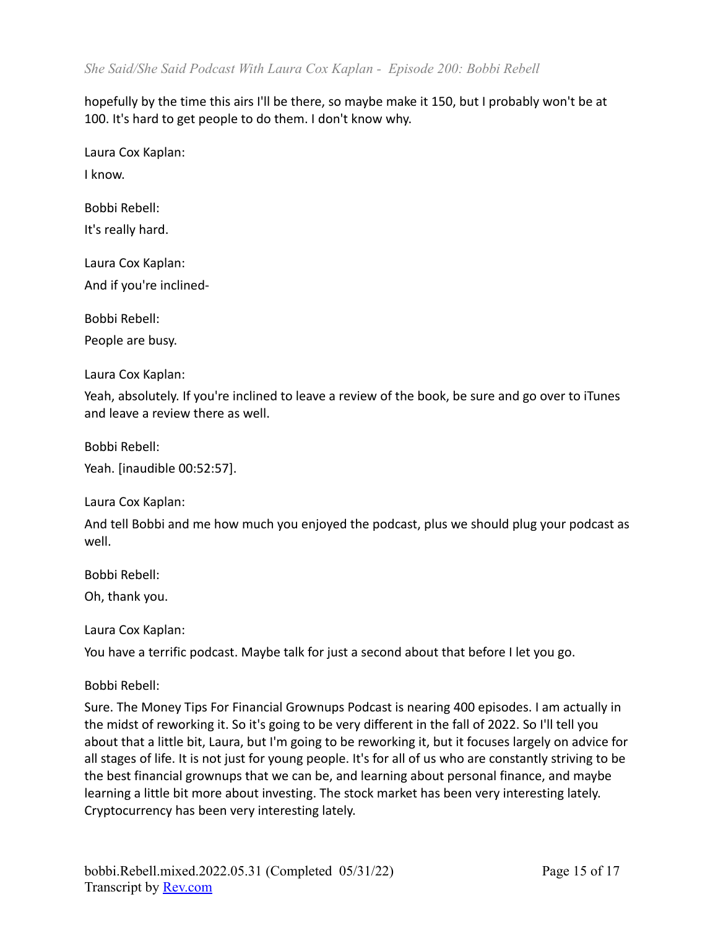hopefully by the time this airs I'll be there, so maybe make it 150, but I probably won't be at 100. It's hard to get people to do them. I don't know why.

Laura Cox Kaplan:

I know.

Bobbi Rebell:

It's really hard.

Laura Cox Kaplan: And if you're inclined-

Bobbi Rebell:

People are busy.

Laura Cox Kaplan:

Yeah, absolutely. If you're inclined to leave a review of the book, be sure and go over to iTunes and leave a review there as well.

Bobbi Rebell:

Yeah. [inaudible 00:52:57].

Laura Cox Kaplan:

And tell Bobbi and me how much you enjoyed the podcast, plus we should plug your podcast as well.

Bobbi Rebell:

Oh, thank you.

Laura Cox Kaplan:

You have a terrific podcast. Maybe talk for just a second about that before I let you go.

Bobbi Rebell:

Sure. The Money Tips For Financial Grownups Podcast is nearing 400 episodes. I am actually in the midst of reworking it. So it's going to be very different in the fall of 2022. So I'll tell you about that a little bit, Laura, but I'm going to be reworking it, but it focuses largely on advice for all stages of life. It is not just for young people. It's for all of us who are constantly striving to be the best financial grownups that we can be, and learning about personal finance, and maybe learning a little bit more about investing. The stock market has been very interesting lately. Cryptocurrency has been very interesting lately.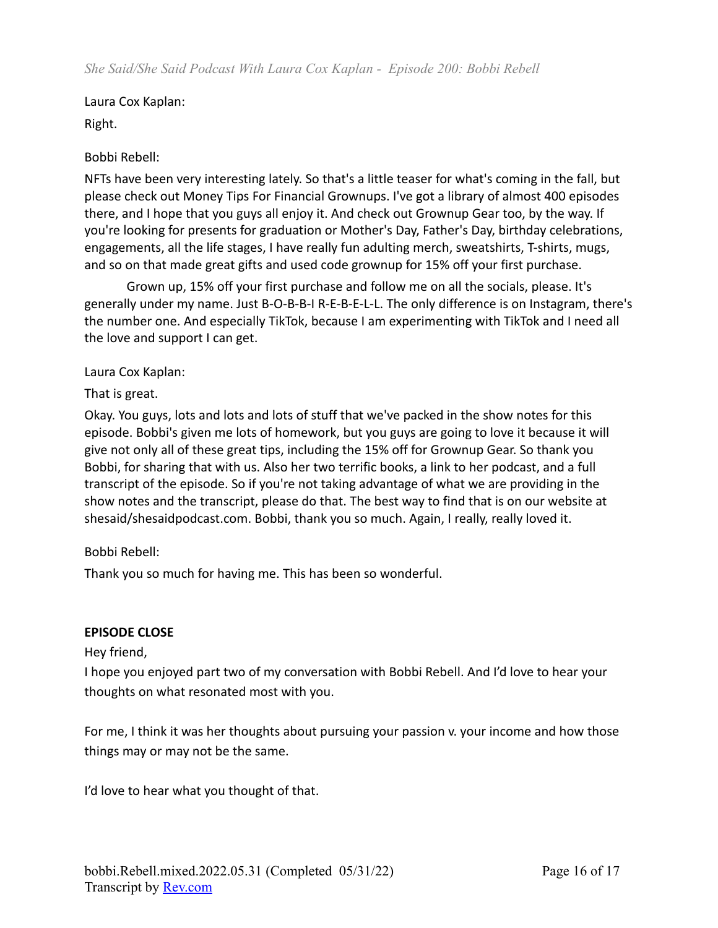Laura Cox Kaplan: Right.

# Bobbi Rebell:

NFTs have been very interesting lately. So that's a little teaser for what's coming in the fall, but please check out Money Tips For Financial Grownups. I've got a library of almost 400 episodes there, and I hope that you guys all enjoy it. And check out Grownup Gear too, by the way. If you're looking for presents for graduation or Mother's Day, Father's Day, birthday celebrations, engagements, all the life stages, I have really fun adulting merch, sweatshirts, T-shirts, mugs, and so on that made great gifts and used code grownup for 15% off your first purchase.

Grown up, 15% off your first purchase and follow me on all the socials, please. It's generally under my name. Just B-O-B-B-I R-E-B-E-L-L. The only difference is on Instagram, there's the number one. And especially TikTok, because I am experimenting with TikTok and I need all the love and support I can get.

#### Laura Cox Kaplan:

That is great.

Okay. You guys, lots and lots and lots of stuff that we've packed in the show notes for this episode. Bobbi's given me lots of homework, but you guys are going to love it because it will give not only all of these great tips, including the 15% off for Grownup Gear. So thank you Bobbi, for sharing that with us. Also her two terrific books, a link to her podcast, and a full transcript of the episode. So if you're not taking advantage of what we are providing in the show notes and the transcript, please do that. The best way to find that is on our website at shesaid/shesaidpodcast.com. Bobbi, thank you so much. Again, I really, really loved it.

# Bobbi Rebell:

Thank you so much for having me. This has been so wonderful.

#### **EPISODE CLOSE**

Hey friend,

I hope you enjoyed part two of my conversation with Bobbi Rebell. And I'd love to hear your thoughts on what resonated most with you.

For me, I think it was her thoughts about pursuing your passion v. your income and how those things may or may not be the same.

I'd love to hear what you thought of that.